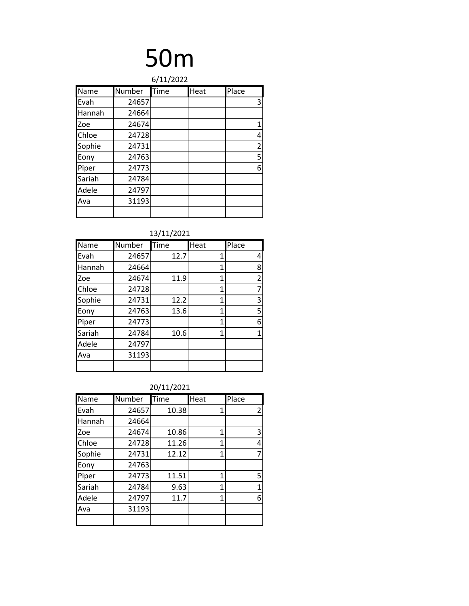|             |        | 6/11/2022 |      |                |
|-------------|--------|-----------|------|----------------|
| <b>Name</b> | Number | Time      | Heat | Place          |
| Evah        | 24657  |           |      | 3              |
| Hannah      | 24664  |           |      |                |
| Zoe         | 24674  |           |      | 1              |
| Chloe       | 24728  |           |      | 4              |
| Sophie      | 24731  |           |      | $\overline{2}$ |
| Eony        | 24763  |           |      | 5              |
| Piper       | 24773  |           |      | 6              |
| Sariah      | 24784  |           |      |                |
| Adele       | 24797  |           |      |                |
| Ava         | 31193  |           |      |                |
|             |        |           |      |                |

13/11/2021

| Name   | Number | Time | Heat | Place          |
|--------|--------|------|------|----------------|
| Evah   | 24657  | 12.7 | 1    | 4              |
| Hannah | 24664  |      | 1    | 8              |
| Zoe    | 24674  | 11.9 | 1    | $\overline{2}$ |
| Chloe  | 24728  |      | 1    | 7              |
| Sophie | 24731  | 12.2 | 1    | 3              |
| Eony   | 24763  | 13.6 | 1    | 5              |
| Piper  | 24773  |      | 1    | 6              |
| Sariah | 24784  | 10.6 | 1    | 1              |
| Adele  | 24797  |      |      |                |
| Ava    | 31193  |      |      |                |
|        |        |      |      |                |

| Name   | Number | Time  | Heat | Place |
|--------|--------|-------|------|-------|
| Evah   | 24657  | 10.38 | 1    | 2     |
| Hannah | 24664  |       |      |       |
| Zoe    | 24674  | 10.86 | 1    | 3     |
| Chloe  | 24728  | 11.26 | 1    | 4     |
| Sophie | 24731  | 12.12 | 1    | 7     |
| Eony   | 24763  |       |      |       |
| Piper  | 24773  | 11.51 | 1    | 5     |
| Sariah | 24784  | 9.63  | 1    | 1     |
| Adele  | 24797  | 11.7  | 1    | 6     |
| Ava    | 31193  |       |      |       |
|        |        |       |      |       |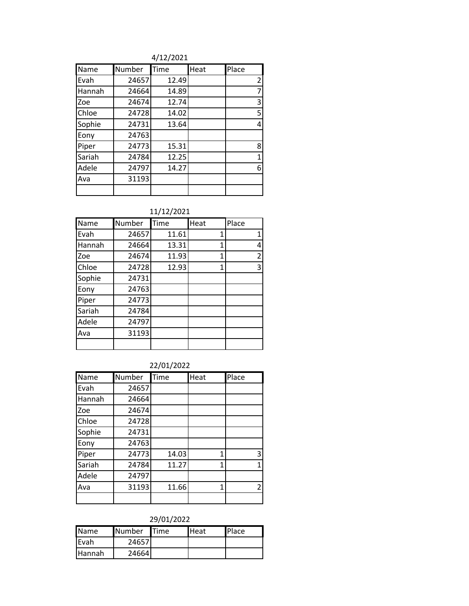4/12/2021

| Name   | Number | Time  | Heat | Place          |
|--------|--------|-------|------|----------------|
| Evah   | 24657  | 12.49 |      | $\overline{2}$ |
| Hannah | 24664  | 14.89 |      | 7              |
| Zoe    | 24674  | 12.74 |      | 3              |
| Chloe  | 24728  | 14.02 |      | 5              |
| Sophie | 24731  | 13.64 |      | 4              |
| Eony   | 24763  |       |      |                |
| Piper  | 24773  | 15.31 |      | 8              |
| Sariah | 24784  | 12.25 |      | 1              |
| Adele  | 24797  | 14.27 |      | 6              |
| Ava    | 31193  |       |      |                |
|        |        |       |      |                |

| Name   | Number | Time  | Heat | Place          |
|--------|--------|-------|------|----------------|
| Evah   | 24657  | 11.61 | 1    | 1              |
| Hannah | 24664  | 13.31 | 1    | 4              |
| Zoe    | 24674  | 11.93 | 1    | $\overline{2}$ |
| Chloe  | 24728  | 12.93 | 1    | 3              |
| Sophie | 24731  |       |      |                |
| Eony   | 24763  |       |      |                |
| Piper  | 24773  |       |      |                |
| Sariah | 24784  |       |      |                |
| Adele  | 24797  |       |      |                |
| Ava    | 31193  |       |      |                |
|        |        |       |      |                |

### 22/01/2022

| Name   | Number | Time  | Heat | Place |
|--------|--------|-------|------|-------|
| Evah   | 24657  |       |      |       |
| Hannah | 24664  |       |      |       |
| Zoe    | 24674  |       |      |       |
| Chloe  | 24728  |       |      |       |
| Sophie | 24731  |       |      |       |
| Eony   | 24763  |       |      |       |
| Piper  | 24773  | 14.03 | 1    | 3     |
| Sariah | 24784  | 11.27 | 1    | 1     |
| Adele  | 24797  |       |      |       |
| Ava    | 31193  | 11.66 | 1    | 2     |
|        |        |       |      |       |

### 29/01/2022

| <b>Name</b>     | <b>Number</b> | <b>I</b> Time | <b>Heat</b> | <b>Place</b> |
|-----------------|---------------|---------------|-------------|--------------|
| <b>IEvah</b>    | 24657         |               |             |              |
| <b>I</b> Hannah | 24664         |               |             |              |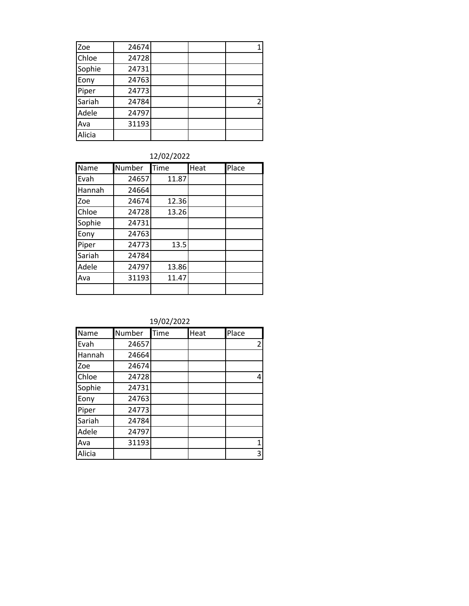| Zoe    | 24674 |  |   |
|--------|-------|--|---|
| Chloe  | 24728 |  |   |
| Sophie | 24731 |  |   |
| Eony   | 24763 |  |   |
| Piper  | 24773 |  |   |
| Sariah | 24784 |  | 2 |
| Adele  | 24797 |  |   |
| Ava    | 31193 |  |   |
| Alicia |       |  |   |

12/02/2022

| Name   | Number | Time  | Heat | Place |
|--------|--------|-------|------|-------|
| Evah   | 24657  | 11.87 |      |       |
| Hannah | 24664  |       |      |       |
| Zoe    | 24674  | 12.36 |      |       |
| Chloe  | 24728  | 13.26 |      |       |
| Sophie | 24731  |       |      |       |
| Eony   | 24763  |       |      |       |
| Piper  | 24773  | 13.5  |      |       |
| Sariah | 24784  |       |      |       |
| Adele  | 24797  | 13.86 |      |       |
| Ava    | 31193  | 11.47 |      |       |
|        |        |       |      |       |

19/02/2022

| Name   | Number | Time | Heat | Place |
|--------|--------|------|------|-------|
| Evah   | 24657  |      |      | 2     |
| Hannah | 24664  |      |      |       |
| Zoe    | 24674  |      |      |       |
| Chloe  | 24728  |      |      | Δ     |
| Sophie | 24731  |      |      |       |
| Eony   | 24763  |      |      |       |
| Piper  | 24773  |      |      |       |
| Sariah | 24784  |      |      |       |
| Adele  | 24797  |      |      |       |
| Ava    | 31193  |      |      | 1     |
| Alicia |        |      |      | 3     |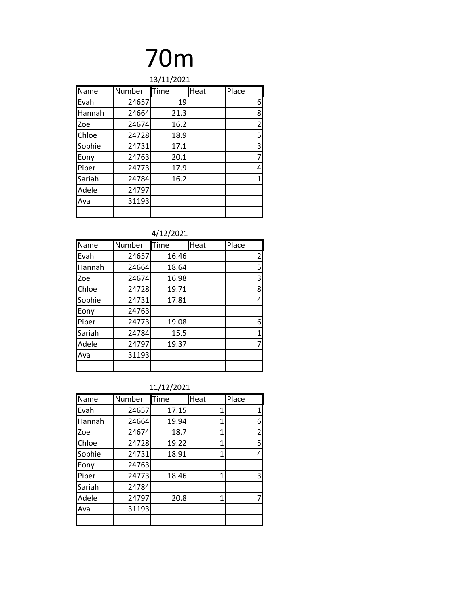| 13/11/2021 |        |      |      |                |
|------------|--------|------|------|----------------|
| Name       | Number | Time | Heat | Place          |
| Evah       | 24657  | 19   |      | 6              |
| Hannah     | 24664  | 21.3 |      | 8              |
| Zoe        | 24674  | 16.2 |      | $\overline{2}$ |
| Chloe      | 24728  | 18.9 |      | 5              |
| Sophie     | 24731  | 17.1 |      | 3              |
| Eony       | 24763  | 20.1 |      | 7              |
| Piper      | 24773  | 17.9 |      | 4              |
| Sariah     | 24784  | 16.2 |      | 1              |
| Adele      | 24797  |      |      |                |
| Ava        | 31193  |      |      |                |
|            |        |      |      |                |

4/12/2021

| Name   | Number | Time  | Heat | Place |
|--------|--------|-------|------|-------|
| Evah   | 24657  | 16.46 |      | 2     |
| Hannah | 24664  | 18.64 |      | 5     |
| Zoe    | 24674  | 16.98 |      | 3     |
| Chloe  | 24728  | 19.71 |      | 8     |
| Sophie | 24731  | 17.81 |      | 4     |
| Eony   | 24763  |       |      |       |
| Piper  | 24773  | 19.08 |      | 6     |
| Sariah | 24784  | 15.5  |      | 1     |
| Adele  | 24797  | 19.37 |      |       |
| Ava    | 31193  |       |      |       |
|        |        |       |      |       |

11/12/2021

| Name   | Number | Time  | Heat | Place |
|--------|--------|-------|------|-------|
| Evah   | 24657  | 17.15 | 1    | 1     |
| Hannah | 24664  | 19.94 | 1    | 6     |
| Zoe    | 24674  | 18.7  | 1    | 2     |
| Chloe  | 24728  | 19.22 | 1    | 5     |
| Sophie | 24731  | 18.91 | 1    | 4     |
| Eony   | 24763  |       |      |       |
| Piper  | 24773  | 18.46 | 1    | 3     |
| Sariah | 24784  |       |      |       |
| Adele  | 24797  | 20.8  | 1    |       |
| Ava    | 31193  |       |      |       |
|        |        |       |      |       |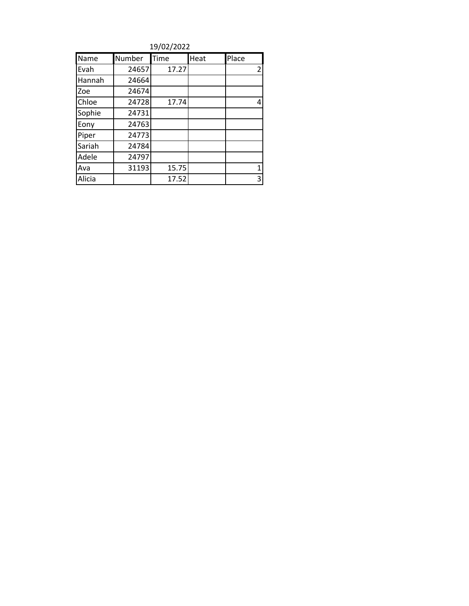| 19/02/2022 |        |       |      |                |  |
|------------|--------|-------|------|----------------|--|
| Name       | Number | Time  | Heat | Place          |  |
| Evah       | 24657  | 17.27 |      | $\overline{2}$ |  |
| Hannah     | 24664  |       |      |                |  |
| Zoe        | 24674  |       |      |                |  |
| Chloe      | 24728  | 17.74 |      | 4              |  |
| Sophie     | 24731  |       |      |                |  |
| Eony       | 24763  |       |      |                |  |
| Piper      | 24773  |       |      |                |  |
| Sariah     | 24784  |       |      |                |  |
| Adele      | 24797  |       |      |                |  |
| Ava        | 31193  | 15.75 |      | $\mathbf{1}$   |  |
| Alicia     |        | 17.52 |      | 3              |  |

19/02/2022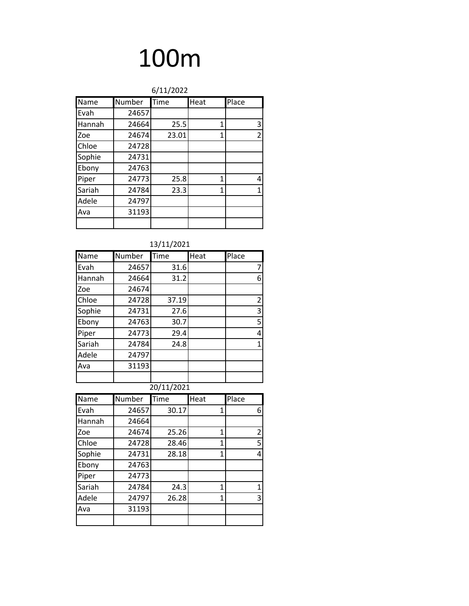| 6/11/2022 |        |       |      |                |
|-----------|--------|-------|------|----------------|
| Name      | Number | Time  | Heat | Place          |
| Evah      | 24657  |       |      |                |
| Hannah    | 24664  | 25.5  | 1    | 3              |
| Zoe       | 24674  | 23.01 | 1    | $\overline{2}$ |
| Chloe     | 24728  |       |      |                |
| Sophie    | 24731  |       |      |                |
| Ebony     | 24763  |       |      |                |
| Piper     | 24773  | 25.8  | 1    | 4              |
| Sariah    | 24784  | 23.3  | 1    | $\mathbf{1}$   |
| Adele     | 24797  |       |      |                |
| Ava       | 31193  |       |      |                |
|           |        |       |      |                |

| Name       | Number | Time  | Heat | Place |
|------------|--------|-------|------|-------|
| Evah       | 24657  | 31.6  |      |       |
| Hannah     | 24664  | 31.2  |      | 6     |
| Zoe        | 24674  |       |      |       |
| Chloe      | 24728  | 37.19 |      | 2     |
| Sophie     | 24731  | 27.6  |      | 3     |
| Ebony      | 24763  | 30.7  |      | 5     |
| Piper      | 24773  | 29.4  |      | 4     |
| Sariah     | 24784  | 24.8  |      | 1     |
| Adele      | 24797  |       |      |       |
| Ava        | 31193  |       |      |       |
|            |        |       |      |       |
| 20/11/2021 |        |       |      |       |

| Name   | Number | Time  | Heat | Place          |
|--------|--------|-------|------|----------------|
| Evah   | 24657  | 30.17 | 1    | 6              |
| Hannah | 24664  |       |      |                |
| Zoe    | 24674  | 25.26 | 1    | $\overline{c}$ |
| Chloe  | 24728  | 28.46 | 1    | 5              |
| Sophie | 24731  | 28.18 | 1    | 4              |
| Ebony  | 24763  |       |      |                |
| Piper  | 24773  |       |      |                |
| Sariah | 24784  | 24.3  | 1    | 1              |
| Adele  | 24797  | 26.28 | 1    | 3              |
| Ava    | 31193  |       |      |                |
|        |        |       |      |                |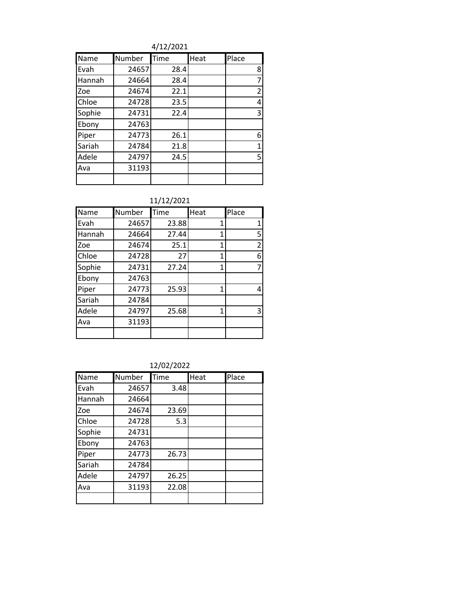4/12/2021

| Name   | Number | Time | Heat | Place          |
|--------|--------|------|------|----------------|
| Evah   | 24657  | 28.4 |      | 8              |
| Hannah | 24664  | 28.4 |      | 7              |
| Zoe    | 24674  | 22.1 |      | $\overline{2}$ |
| Chloe  | 24728  | 23.5 |      | 4              |
| Sophie | 24731  | 22.4 |      | 3              |
| Ebony  | 24763  |      |      |                |
| Piper  | 24773  | 26.1 |      | 6              |
| Sariah | 24784  | 21.8 |      | 1              |
| Adele  | 24797  | 24.5 |      | 5              |
| Ava    | 31193  |      |      |                |
|        |        |      |      |                |

| Name   | Number | Time  | Heat | Place          |
|--------|--------|-------|------|----------------|
| Evah   | 24657  | 23.88 | 1    | 1              |
| Hannah | 24664  | 27.44 | 1    | 5              |
| Zoe    | 24674  | 25.1  | 1    | $\overline{2}$ |
| Chloe  | 24728  | 27    | 1    | 6              |
| Sophie | 24731  | 27.24 | 1    | 7              |
| Ebony  | 24763  |       |      |                |
| Piper  | 24773  | 25.93 | 1    | 4              |
| Sariah | 24784  |       |      |                |
| Adele  | 24797  | 25.68 | 1    | 3              |
| Ava    | 31193  |       |      |                |
|        |        |       |      |                |

12/02/2022

| Name   | Number | Time  | Heat | Place |
|--------|--------|-------|------|-------|
| Evah   | 24657  | 3.48  |      |       |
| Hannah | 24664  |       |      |       |
| Zoe    | 24674  | 23.69 |      |       |
| Chloe  | 24728  | 5.3   |      |       |
| Sophie | 24731  |       |      |       |
| Ebony  | 24763  |       |      |       |
| Piper  | 24773  | 26.73 |      |       |
| Sariah | 24784  |       |      |       |
| Adele  | 24797  | 26.25 |      |       |
| Ava    | 31193  | 22.08 |      |       |
|        |        |       |      |       |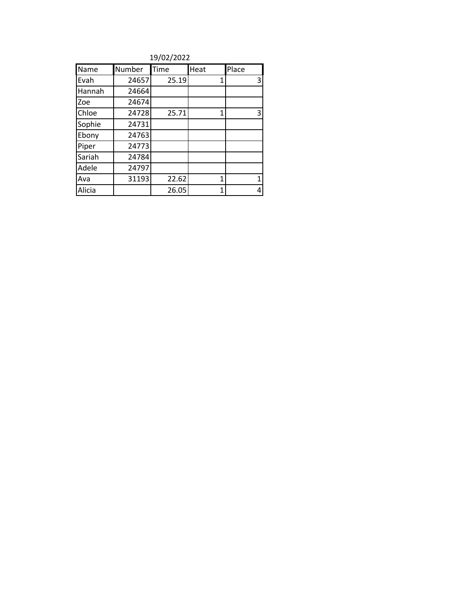19/02/2022

| Name   | Number | Time  | Heat | Place |
|--------|--------|-------|------|-------|
| Evah   | 24657  | 25.19 | 1    | 3     |
| Hannah | 24664  |       |      |       |
| Zoe    | 24674  |       |      |       |
| Chloe  | 24728  | 25.71 | 1    | 3     |
| Sophie | 24731  |       |      |       |
| Ebony  | 24763  |       |      |       |
| Piper  | 24773  |       |      |       |
| Sariah | 24784  |       |      |       |
| Adele  | 24797  |       |      |       |
| Ava    | 31193  | 22.62 | 1    | 1     |
| Alicia |        | 26.05 | 1    | 4     |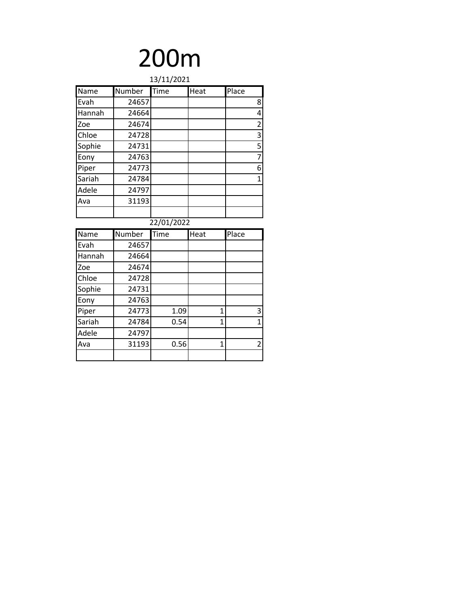| 13/11/2021 |        |             |      |                         |
|------------|--------|-------------|------|-------------------------|
| Name       | Number | <b>Time</b> | Heat | Place                   |
| Evah       | 24657  |             |      | 8                       |
| Hannah     | 24664  |             |      | 4                       |
| Zoe        | 24674  |             |      | $\overline{2}$          |
| Chloe      | 24728  |             |      | $\overline{\mathbf{3}}$ |
| Sophie     | 24731  |             |      | $\frac{5}{7}$           |
| Eony       | 24763  |             |      |                         |
| Piper      | 24773  |             |      | 6                       |
| Sariah     | 24784  |             |      | $\overline{1}$          |
| Adele      | 24797  |             |      |                         |
| Ava        | 31193  |             |      |                         |
|            |        |             |      |                         |
|            |        | 22/01/2022  |      |                         |
| Name       | Number | Time        | Heat | Place                   |
| Evah       | 24657  |             |      |                         |
| Hannah     | 24664  |             |      |                         |
| Zoe        | 24674  |             |      |                         |
| Chloe      | 24728  |             |      |                         |
| Sophie     | 24731  |             |      |                         |
|            |        |             |      |                         |
| Eony       | 24763  |             |      |                         |
| Piper      | 24773  | 1.09        | 1    | 3                       |
| Sariah     | 24784  | 0.54        | 1    | $\overline{1}$          |
| Adele      | 24797  |             |      |                         |
| Ava        | 31193  | 0.56        | 1    | $\overline{2}$          |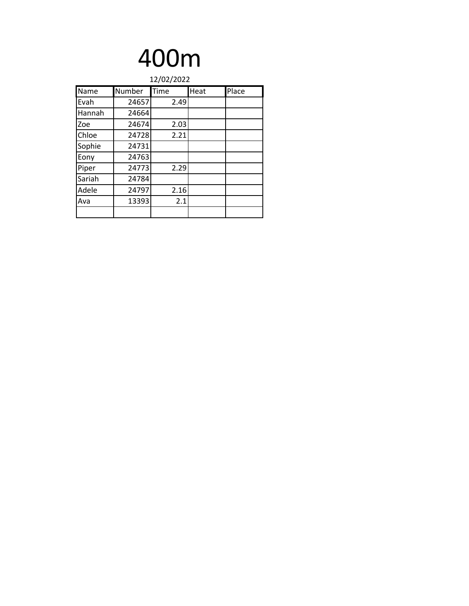| 12/02/2022 |        |      |      |       |
|------------|--------|------|------|-------|
| Name       | Number | Time | Heat | Place |
| Evah       | 24657  | 2.49 |      |       |
| Hannah     | 24664  |      |      |       |
| Zoe        | 24674  | 2.03 |      |       |
| Chloe      | 24728  | 2.21 |      |       |
| Sophie     | 24731  |      |      |       |
| Eony       | 24763  |      |      |       |
| Piper      | 24773  | 2.29 |      |       |
| Sariah     | 24784  |      |      |       |
| Adele      | 24797  | 2.16 |      |       |
| Ava        | 13393  | 2.1  |      |       |
|            |        |      |      |       |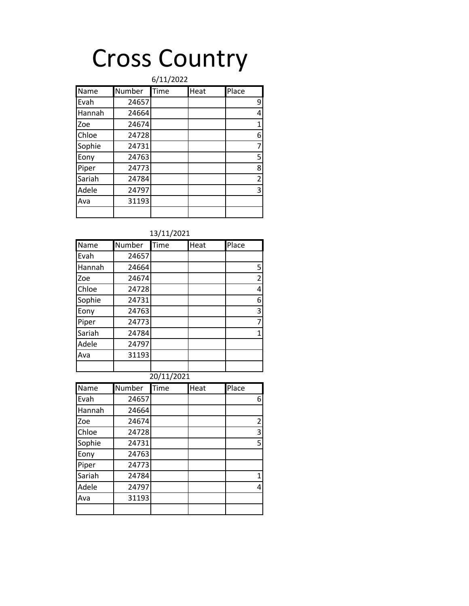## Cross Country

|             |        | 6/11/2022 |      |                |
|-------------|--------|-----------|------|----------------|
| <b>Name</b> | Number | Time      | Heat | Place          |
| Evah        | 24657  |           |      | 9              |
| Hannah      | 24664  |           |      | 4              |
| Zoe         | 24674  |           |      | $\mathbf{1}$   |
| Chloe       | 24728  |           |      | 6              |
| Sophie      | 24731  |           |      | 7              |
| Eony        | 24763  |           |      | 5              |
| Piper       | 24773  |           |      | 8              |
| Sariah      | 24784  |           |      | $\overline{2}$ |
| Adele       | 24797  |           |      | 3              |
| Ava         | 31193  |           |      |                |
|             |        |           |      |                |

| Name   | Number     | Time | Heat | Place |  |  |  |
|--------|------------|------|------|-------|--|--|--|
| Evah   | 24657      |      |      |       |  |  |  |
| Hannah | 24664      |      |      | 5     |  |  |  |
| Zoe    | 24674      |      |      | 2     |  |  |  |
| Chloe  | 24728      |      |      | 4     |  |  |  |
| Sophie | 24731      |      |      | 6     |  |  |  |
| Eony   | 24763      |      |      | 3     |  |  |  |
| Piper  | 24773      |      |      | 7     |  |  |  |
| Sariah | 24784      |      |      | 1     |  |  |  |
| Adele  | 24797      |      |      |       |  |  |  |
| Ava    | 31193      |      |      |       |  |  |  |
|        |            |      |      |       |  |  |  |
|        | 20/11/2021 |      |      |       |  |  |  |

| Name   | Number | Time | Heat | Place          |
|--------|--------|------|------|----------------|
| Evah   | 24657  |      |      | 6              |
| Hannah | 24664  |      |      |                |
| Zoe    | 24674  |      |      | $\overline{2}$ |
| Chloe  | 24728  |      |      | 3              |
| Sophie | 24731  |      |      | 5              |
| Eony   | 24763  |      |      |                |
| Piper  | 24773  |      |      |                |
| Sariah | 24784  |      |      | 1              |
| Adele  | 24797  |      |      | 4              |
| Ava    | 31193  |      |      |                |
|        |        |      |      |                |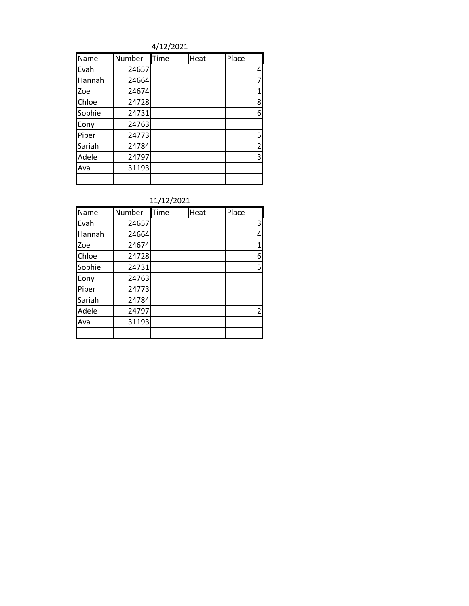4/12/2021

| Name   | Number | Time | Heat | Place          |
|--------|--------|------|------|----------------|
| Evah   | 24657  |      |      | 4              |
| Hannah | 24664  |      |      | 7              |
| Zoe    | 24674  |      |      | 1              |
| Chloe  | 24728  |      |      | 8              |
| Sophie | 24731  |      |      | 6              |
| Eony   | 24763  |      |      |                |
| Piper  | 24773  |      |      | 5              |
| Sariah | 24784  |      |      | $\overline{2}$ |
| Adele  | 24797  |      |      | 3              |
| Ava    | 31193  |      |      |                |
|        |        |      |      |                |

| Name   | Number | Time | Heat | Place |
|--------|--------|------|------|-------|
| Evah   | 24657  |      |      | 3     |
| Hannah | 24664  |      |      | 4     |
| Zoe    | 24674  |      |      | 1     |
| Chloe  | 24728  |      |      | 6     |
| Sophie | 24731  |      |      | 5     |
| Eony   | 24763  |      |      |       |
| Piper  | 24773  |      |      |       |
| Sariah | 24784  |      |      |       |
| Adele  | 24797  |      |      | 2     |
| Ava    | 31193  |      |      |       |
|        |        |      |      |       |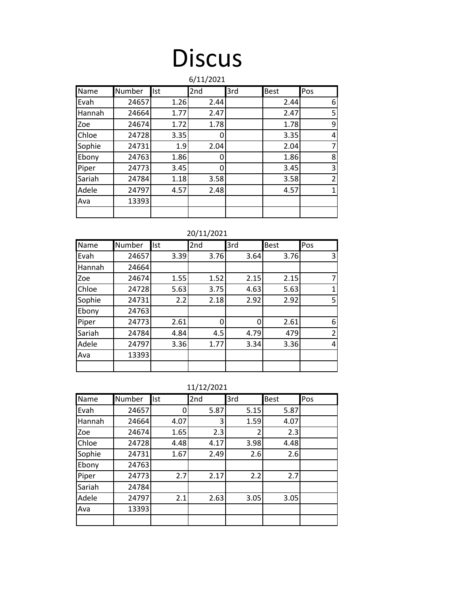### **Discus**

| 6/11/2021 |        |            |      |     |      |                |
|-----------|--------|------------|------|-----|------|----------------|
| Name      | Number | <b>Ist</b> | 2nd  | 3rd | Best | Pos            |
| Evah      | 24657  | 1.26       | 2.44 |     | 2.44 | 6              |
| Hannah    | 24664  | 1.77       | 2.47 |     | 2.47 | 5              |
| Zoe       | 24674  | 1.72       | 1.78 |     | 1.78 | 9              |
| Chloe     | 24728  | 3.35       | O    |     | 3.35 | 4              |
| Sophie    | 24731  | 1.9        | 2.04 |     | 2.04 | $\overline{7}$ |
| Ebony     | 24763  | 1.86       | 0    |     | 1.86 | 8              |
| Piper     | 24773  | 3.45       | 0    |     | 3.45 | 3              |
| Sariah    | 24784  | 1.18       | 3.58 |     | 3.58 | $\overline{2}$ |
| Adele     | 24797  | 4.57       | 2.48 |     | 4.57 | $\mathbf{1}$   |
| Ava       | 13393  |            |      |     |      |                |
|           |        |            |      |     |      |                |

20/11/2021

| Name   | Number | Ist  | 2nd  | 3rd  | <b>Best</b> | Pos            |
|--------|--------|------|------|------|-------------|----------------|
| Evah   | 24657  | 3.39 | 3.76 | 3.64 | 3.76        | 3              |
| Hannah | 24664  |      |      |      |             |                |
| Zoe    | 24674  | 1.55 | 1.52 | 2.15 | 2.15        | 7              |
| Chloe  | 24728  | 5.63 | 3.75 | 4.63 | 5.63        | 1              |
| Sophie | 24731  | 2.2  | 2.18 | 2.92 | 2.92        | 5              |
| Ebony  | 24763  |      |      |      |             |                |
| Piper  | 24773  | 2.61 | O    | 0    | 2.61        | 6              |
| Sariah | 24784  | 4.84 | 4.5  | 4.79 | 479         | $\overline{2}$ |
| Adele  | 24797  | 3.36 | 1.77 | 3.34 | 3.36        | 4              |
| Ava    | 13393  |      |      |      |             |                |
|        |        |      |      |      |             |                |

11/12/2021

| Name   | Number | Ist  | 2nd  | 3rd            | <b>Best</b> | Pos |
|--------|--------|------|------|----------------|-------------|-----|
| Evah   | 24657  | 0    | 5.87 | 5.15           | 5.87        |     |
| Hannah | 24664  | 4.07 | 3    | 1.59           | 4.07        |     |
| Zoe    | 24674  | 1.65 | 2.3  | $\overline{2}$ | 2.3         |     |
| Chloe  | 24728  | 4.48 | 4.17 | 3.98           | 4.48        |     |
| Sophie | 24731  | 1.67 | 2.49 | 2.6            | 2.6         |     |
| Ebony  | 24763  |      |      |                |             |     |
| Piper  | 24773  | 2.7  | 2.17 | 2.2            | 2.7         |     |
| Sariah | 24784  |      |      |                |             |     |
| Adele  | 24797  | 2.1  | 2.63 | 3.05           | 3.05        |     |
| Ava    | 13393  |      |      |                |             |     |
|        |        |      |      |                |             |     |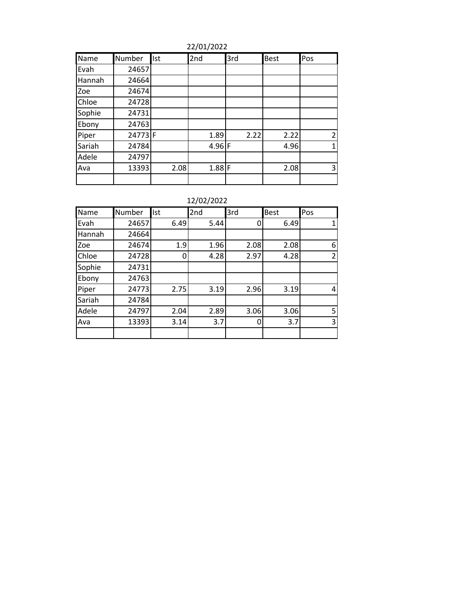Name Number Ist 2nd 3rd Best Pos Evah 24657 Hannah 24664 Zoe 24674 Chloe 24728 Sophie | 24731 Ebony 24763 Piper 24773 F 1.89 2.22 2.22 2<br>Sariah 24784 4.96 F 4.96 1 Sariah | 24784 | 4.96 |F | 4.96 | 1 Adele 24797 Ava | 13393| 2.08| 1.88|F | 2.08| 3

12/02/2022

| $+219212022$ |        |      |      |      |             |     |
|--------------|--------|------|------|------|-------------|-----|
| Name         | Number | Ist  | 2nd  | 3rd  | <b>Best</b> | Pos |
| Evah         | 24657  | 6.49 | 5.44 | 0    | 6.49        |     |
| Hannah       | 24664  |      |      |      |             |     |
| Zoe          | 24674  | 1.9  | 1.96 | 2.08 | 2.08        | 6   |
| Chloe        | 24728  |      | 4.28 | 2.97 | 4.28        | 2   |
| Sophie       | 24731  |      |      |      |             |     |
| Ebony        | 24763  |      |      |      |             |     |
| Piper        | 24773  | 2.75 | 3.19 | 2.96 | 3.19        | 4   |
| Sariah       | 24784  |      |      |      |             |     |
| Adele        | 24797  | 2.04 | 2.89 | 3.06 | 3.06        | 5   |
| Ava          | 13393  | 3.14 | 3.7  | 0    | 3.7         | 3   |
|              |        |      |      |      |             |     |

22/01/2022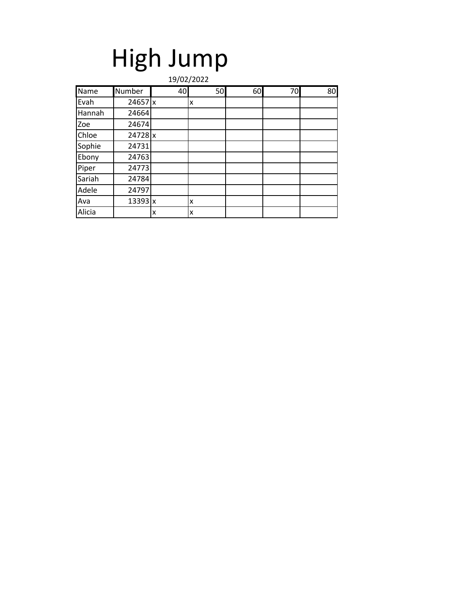## High Jump

|        | 19/02/2022 |    |    |    |    |    |  |
|--------|------------|----|----|----|----|----|--|
| Name   | Number     | 40 | 50 | 60 | 70 | 80 |  |
| Evah   | 24657x     |    | x  |    |    |    |  |
| Hannah | 24664      |    |    |    |    |    |  |
| Zoe    | 24674      |    |    |    |    |    |  |
| Chloe  | 24728 x    |    |    |    |    |    |  |
| Sophie | 24731      |    |    |    |    |    |  |
| Ebony  | 24763      |    |    |    |    |    |  |
| Piper  | 24773      |    |    |    |    |    |  |
| Sariah | 24784      |    |    |    |    |    |  |
| Adele  | 24797      |    |    |    |    |    |  |
| Ava    | 13393x     |    | x  |    |    |    |  |
| Alicia |            | X  | X  |    |    |    |  |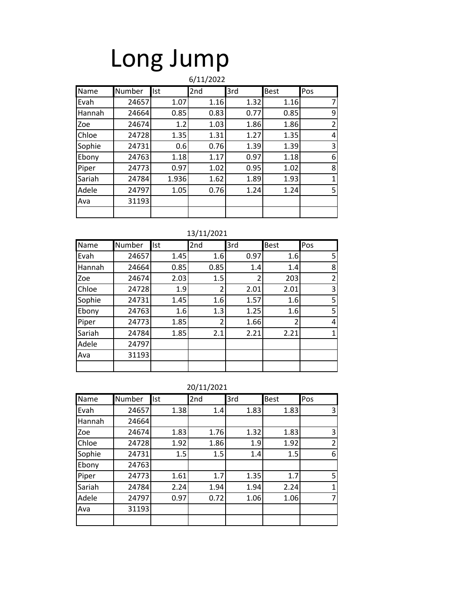## Long Jump

| 6/11/2022 |        |            |                 |      |      |                |
|-----------|--------|------------|-----------------|------|------|----------------|
| Name      | Number | <b>Ist</b> | 2 <sub>nd</sub> | 3rd  | Best | Pos            |
| Evah      | 24657  | 1.07       | 1.16            | 1.32 | 1.16 | 7              |
| Hannah    | 24664  | 0.85       | 0.83            | 0.77 | 0.85 | 9              |
| Zoe       | 24674  | 1.2        | 1.03            | 1.86 | 1.86 | $\overline{2}$ |
| Chloe     | 24728  | 1.35       | 1.31            | 1.27 | 1.35 | 4              |
| Sophie    | 24731  | 0.6        | 0.76            | 1.39 | 1.39 | 3              |
| Ebony     | 24763  | 1.18       | 1.17            | 0.97 | 1.18 | 6              |
| Piper     | 24773  | 0.97       | 1.02            | 0.95 | 1.02 | 8              |
| Sariah    | 24784  | 1.936      | 1.62            | 1.89 | 1.93 | $\mathbf{1}$   |
| Adele     | 24797  | 1.05       | 0.76            | 1.24 | 1.24 | 5              |
| Ava       | 31193  |            |                 |      |      |                |
|           |        |            |                 |      |      |                |

| Name   | Number | Ist  | 2nd  | 3rd            | <b>Best</b>    | Pos |
|--------|--------|------|------|----------------|----------------|-----|
| Evah   | 24657  | 1.45 | 1.6  | 0.97           | 1.6            | 5   |
| Hannah | 24664  | 0.85 | 0.85 | 1.4            | 1.4            | 8   |
| Zoe    | 24674  | 2.03 | 1.5  | $\overline{2}$ | 203            | 2   |
| Chloe  | 24728  | 1.9  | 2    | 2.01           | 2.01           | 3   |
| Sophie | 24731  | 1.45 | 1.6  | 1.57           | 1.6            | 5   |
| Ebony  | 24763  | 1.6  | 1.3  | 1.25           | 1.6            | 5   |
| Piper  | 24773  | 1.85 | 2    | 1.66           | $\overline{2}$ | 4   |
| Sariah | 24784  | 1.85 | 2.1  | 2.21           | 2.21           | 1   |
| Adele  | 24797  |      |      |                |                |     |
| Ava    | 31193  |      |      |                |                |     |
|        |        |      |      |                |                |     |

| 20/11/2021 |  |
|------------|--|
|            |  |

| Name   | Number | <b>Ist</b> | 2nd  | 3rd  | <b>Best</b> | Pos            |
|--------|--------|------------|------|------|-------------|----------------|
| Evah   | 24657  | 1.38       | 1.4  | 1.83 | 1.83        | 3              |
| Hannah | 24664  |            |      |      |             |                |
| Zoe    | 24674  | 1.83       | 1.76 | 1.32 | 1.83        | 3              |
| Chloe  | 24728  | 1.92       | 1.86 | 1.9  | 1.92        | $\overline{2}$ |
| Sophie | 24731  | 1.5        | 1.5  | 1.4  | 1.5         | 6              |
| Ebony  | 24763  |            |      |      |             |                |
| Piper  | 24773  | 1.61       | 1.7  | 1.35 | 1.7         | 5              |
| Sariah | 24784  | 2.24       | 1.94 | 1.94 | 2.24        | 1              |
| Adele  | 24797  | 0.97       | 0.72 | 1.06 | 1.06        | 7              |
| Ava    | 31193  |            |      |      |             |                |
|        |        |            |      |      |             |                |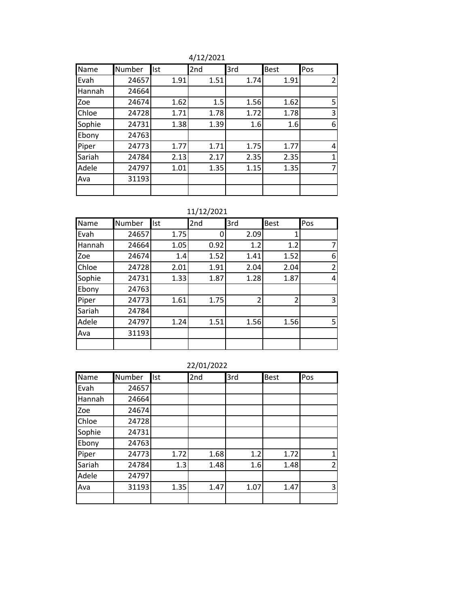4/12/2021

| Name   | Number | llst | 2nd  | 3rd  | <b>Best</b> | Pos |
|--------|--------|------|------|------|-------------|-----|
| Evah   | 24657  | 1.91 | 1.51 | 1.74 | 1.91        | 2   |
| Hannah | 24664  |      |      |      |             |     |
| Zoe    | 24674  | 1.62 | 1.5  | 1.56 | 1.62        | 5   |
| Chloe  | 24728  | 1.71 | 1.78 | 1.72 | 1.78        | 3   |
| Sophie | 24731  | 1.38 | 1.39 | 1.6  | 1.6         | 6   |
| Ebony  | 24763  |      |      |      |             |     |
| Piper  | 24773  | 1.77 | 1.71 | 1.75 | 1.77        | 4   |
| Sariah | 24784  | 2.13 | 2.17 | 2.35 | 2.35        | 1   |
| Adele  | 24797  | 1.01 | 1.35 | 1.15 | 1.35        | 7   |
| Ava    | 31193  |      |      |      |             |     |
|        |        |      |      |      |             |     |

| Name   | Number | Ist  | 2nd  | 3rd            | Best          | Pos            |
|--------|--------|------|------|----------------|---------------|----------------|
| Evah   | 24657  | 1.75 |      | 2.09           |               |                |
| Hannah | 24664  | 1.05 | 0.92 | 1.2            | 1.2           | 7              |
| Zoe    | 24674  | 1.4  | 1.52 | 1.41           | 1.52          | 6              |
| Chloe  | 24728  | 2.01 | 1.91 | 2.04           | 2.04          | $\overline{2}$ |
| Sophie | 24731  | 1.33 | 1.87 | 1.28           | 1.87          | 4              |
| Ebony  | 24763  |      |      |                |               |                |
| Piper  | 24773  | 1.61 | 1.75 | $\overline{2}$ | $\mathcal{P}$ | 3              |
| Sariah | 24784  |      |      |                |               |                |
| Adele  | 24797  | 1.24 | 1.51 | 1.56           | 1.56          | 5              |
| Ava    | 31193  |      |      |                |               |                |
|        |        |      |      |                |               |                |

| Name   | Number | Ist  | 2nd  | 3rd  | <b>Best</b> | Pos                      |
|--------|--------|------|------|------|-------------|--------------------------|
| Evah   | 24657  |      |      |      |             |                          |
| Hannah | 24664  |      |      |      |             |                          |
| Zoe    | 24674  |      |      |      |             |                          |
| Chloe  | 24728  |      |      |      |             |                          |
| Sophie | 24731  |      |      |      |             |                          |
| Ebony  | 24763  |      |      |      |             |                          |
| Piper  | 24773  | 1.72 | 1.68 | 1.2  | 1.72        |                          |
| Sariah | 24784  | 1.3  | 1.48 | 1.6  | 1.48        | $\overline{\mathcal{L}}$ |
| Adele  | 24797  |      |      |      |             |                          |
| Ava    | 31193  | 1.35 | 1.47 | 1.07 | 1.47        | 3                        |
|        |        |      |      |      |             |                          |

22/01/2022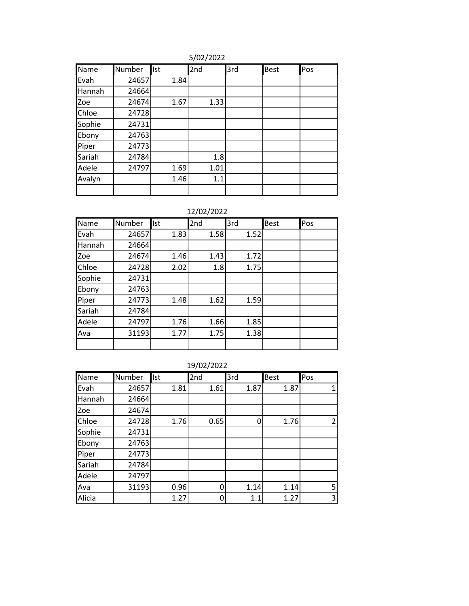5/02/2022

| Name   | Number | <b>Ist</b> | 2nd  | 3rd | Best | Pos |
|--------|--------|------------|------|-----|------|-----|
| Evah   | 24657  | 1.84       |      |     |      |     |
| Hannah | 24664  |            |      |     |      |     |
| Zoe    | 24674  | 1.67       | 1.33 |     |      |     |
| Chloe  | 24728  |            |      |     |      |     |
| Sophie | 24731  |            |      |     |      |     |
| Ebony  | 24763  |            |      |     |      |     |
| Piper  | 24773  |            |      |     |      |     |
| Sariah | 24784  |            | 1.8  |     |      |     |
| Adele  | 24797  | 1.69       | 1.01 |     |      |     |
| Avalyn |        | 1.46       | 1.1  |     |      |     |
|        |        |            |      |     |      |     |

### 12/02/2022

| Name   | Number | <b>Ist</b> | 2nd  | 3rd  | <b>Best</b> | Pos |
|--------|--------|------------|------|------|-------------|-----|
| Evah   | 24657  | 1.83       | 1.58 | 1.52 |             |     |
| Hannah | 24664  |            |      |      |             |     |
| Zoe    | 24674  | 1.46       | 1.43 | 1.72 |             |     |
| Chloe  | 24728  | 2.02       | 1.8  | 1.75 |             |     |
| Sophie | 24731  |            |      |      |             |     |
| Ebony  | 24763  |            |      |      |             |     |
| Piper  | 24773  | 1.48       | 1.62 | 1.59 |             |     |
| Sariah | 24784  |            |      |      |             |     |
| Adele  | 24797  | 1.76       | 1.66 | 1.85 |             |     |
| Ava    | 31193  | 1.77       | 1.75 | 1.38 |             |     |
|        |        |            |      |      |             |     |

| Name   | Number | <b>Ist</b> | 2nd  | 3rd  | <b>Best</b> | Pos            |
|--------|--------|------------|------|------|-------------|----------------|
| Evah   | 24657  | 1.81       | 1.61 | 1.87 | 1.87        | 1              |
| Hannah | 24664  |            |      |      |             |                |
| Zoe    | 24674  |            |      |      |             |                |
| Chloe  | 24728  | 1.76       | 0.65 | 0    | 1.76        | $\mathfrak{p}$ |
| Sophie | 24731  |            |      |      |             |                |
| Ebony  | 24763  |            |      |      |             |                |
| Piper  | 24773  |            |      |      |             |                |
| Sariah | 24784  |            |      |      |             |                |
| Adele  | 24797  |            |      |      |             |                |
| Ava    | 31193  | 0.96       | ი    | 1.14 | 1.14        | 5              |
| Alicia |        | 1.27       | ი    | 1.1  | 1.27        | 3              |

### 19/02/2022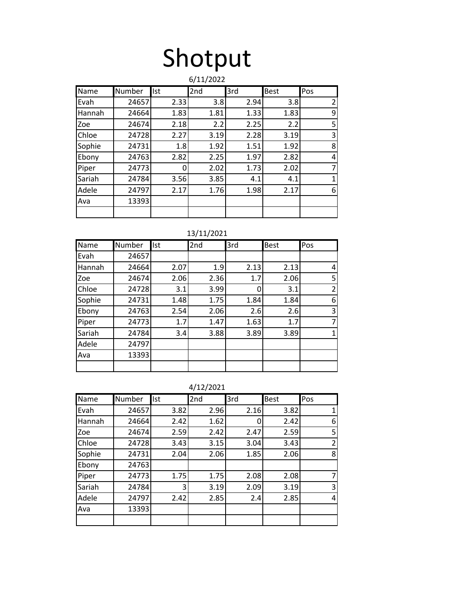# Shotput

|        | 6/11/2022 |            |                 |      |             |                |  |  |
|--------|-----------|------------|-----------------|------|-------------|----------------|--|--|
| Name   | Number    | <b>Ist</b> | 2 <sub>nd</sub> | 3rd  | <b>Best</b> | Pos            |  |  |
| Evah   | 24657     | 2.33       | 3.8             | 2.94 | 3.8         | $\overline{2}$ |  |  |
| Hannah | 24664     | 1.83       | 1.81            | 1.33 | 1.83        | 9              |  |  |
| Zoe    | 24674     | 2.18       | 2.2             | 2.25 | 2.2         | 5              |  |  |
| Chloe  | 24728     | 2.27       | 3.19            | 2.28 | 3.19        | 3              |  |  |
| Sophie | 24731     | 1.8        | 1.92            | 1.51 | 1.92        | 8              |  |  |
| Ebony  | 24763     | 2.82       | 2.25            | 1.97 | 2.82        | 4              |  |  |
| Piper  | 24773     | ŋ          | 2.02            | 1.73 | 2.02        | $\overline{7}$ |  |  |
| Sariah | 24784     | 3.56       | 3.85            | 4.1  | 4.1         | $\mathbf{1}$   |  |  |
| Adele  | 24797     | 2.17       | 1.76            | 1.98 | 2.17        | 6              |  |  |
| Ava    | 13393     |            |                 |      |             |                |  |  |
|        |           |            |                 |      |             |                |  |  |

13/11/2021

| Name   | Number | Ist  | 2nd  | 3rd  | Best | Pos            |
|--------|--------|------|------|------|------|----------------|
| Evah   | 24657  |      |      |      |      |                |
| Hannah | 24664  | 2.07 | 1.9  | 2.13 | 2.13 | 4              |
| Zoe    | 24674  | 2.06 | 2.36 | 1.7  | 2.06 | 5              |
| Chloe  | 24728  | 3.1  | 3.99 | 0    | 3.1  | $\overline{2}$ |
| Sophie | 24731  | 1.48 | 1.75 | 1.84 | 1.84 | 6              |
| Ebony  | 24763  | 2.54 | 2.06 | 2.6  | 2.6  | 3              |
| Piper  | 24773  | 1.7  | 1.47 | 1.63 | 1.7  | 7              |
| Sariah | 24784  | 3.4  | 3.88 | 3.89 | 3.89 | 1              |
| Adele  | 24797  |      |      |      |      |                |
| Ava    | 13393  |      |      |      |      |                |
|        |        |      |      |      |      |                |

| 2/202 |  |  |
|-------|--|--|
|       |  |  |

|        | 4/12/2021 |            |      |      |             |                |  |  |
|--------|-----------|------------|------|------|-------------|----------------|--|--|
| Name   | Number    | <b>Ist</b> | 2nd  | 3rd  | <b>Best</b> | Pos            |  |  |
| Evah   | 24657     | 3.82       | 2.96 | 2.16 | 3.82        | $\mathbf{1}$   |  |  |
| Hannah | 24664     | 2.42       | 1.62 | 0    | 2.42        | 6              |  |  |
| Zoe    | 24674     | 2.59       | 2.42 | 2.47 | 2.59        | 5              |  |  |
| Chloe  | 24728     | 3.43       | 3.15 | 3.04 | 3.43        | $\overline{2}$ |  |  |
| Sophie | 24731     | 2.04       | 2.06 | 1.85 | 2.06        | 8              |  |  |
| Ebony  | 24763     |            |      |      |             |                |  |  |
| Piper  | 24773     | 1.75       | 1.75 | 2.08 | 2.08        | 7              |  |  |
| Sariah | 24784     | 3          | 3.19 | 2.09 | 3.19        | 3              |  |  |
| Adele  | 24797     | 2.42       | 2.85 | 2.4  | 2.85        | 4              |  |  |
| Ava    | 13393     |            |      |      |             |                |  |  |
|        |           |            |      |      |             |                |  |  |